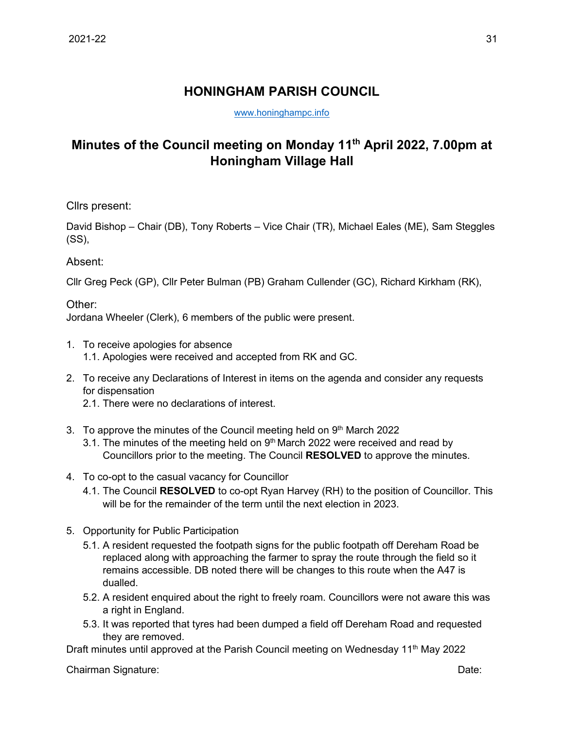## **HONINGHAM PARISH COUNCIL**

[www.honinghampc.info](http://www.honinghampc.info/)

## **Minutes of the Council meeting on Monday 11th April 2022, 7.00pm at Honingham Village Hall**

Cllrs present:

David Bishop – Chair (DB), Tony Roberts – Vice Chair (TR), Michael Eales (ME), Sam Steggles (SS),

## Absent:

Cllr Greg Peck (GP), Cllr Peter Bulman (PB) Graham Cullender (GC), Richard Kirkham (RK),

Other:

Jordana Wheeler (Clerk), 6 members of the public were present.

- 1. To receive apologies for absence 1.1. Apologies were received and accepted from RK and GC.
- 2. To receive any Declarations of Interest in items on the agenda and consider any requests for dispensation
	- 2.1. There were no declarations of interest.
- 3. To approve the minutes of the Council meeting held on 9<sup>th</sup> March 2022
	- 3.1. The minutes of the meeting held on  $9<sup>th</sup>$  March 2022 were received and read by Councillors prior to the meeting. The Council **RESOLVED** to approve the minutes.
- 4. To co-opt to the casual vacancy for Councillor
	- 4.1. The Council **RESOLVED** to co-opt Ryan Harvey (RH) to the position of Councillor. This will be for the remainder of the term until the next election in 2023.
- 5. Opportunity for Public Participation
	- 5.1. A resident requested the footpath signs for the public footpath off Dereham Road be replaced along with approaching the farmer to spray the route through the field so it remains accessible. DB noted there will be changes to this route when the A47 is dualled.
	- 5.2. A resident enquired about the right to freely roam. Councillors were not aware this was a right in England.
	- 5.3. It was reported that tyres had been dumped a field off Dereham Road and requested they are removed.

Draft minutes until approved at the Parish Council meeting on Wednesday 11<sup>th</sup> May 2022

Chairman Signature: Date: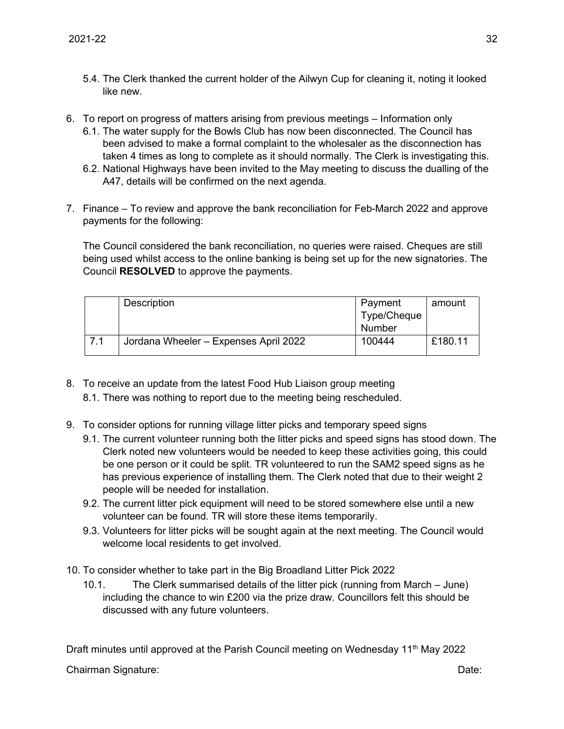- 5.4. The Clerk thanked the current holder of the Ailwyn Cup for cleaning it, noting it looked like new.
- 6. To report on progress of matters arising from previous meetings Information only
	- 6.1. The water supply for the Bowls Club has now been disconnected. The Council has been advised to make a formal complaint to the wholesaler as the disconnection has taken 4 times as long to complete as it should normally. The Clerk is investigating this.
	- 6.2. National Highways have been invited to the May meeting to discuss the dualling of the A47, details will be confirmed on the next agenda.
- 7. Finance To review and approve the bank reconciliation for Feb-March 2022 and approve payments for the following:

The Council considered the bank reconciliation, no queries were raised. Cheques are still being used whilst access to the online banking is being set up for the new signatories. The Council **RESOLVED** to approve the payments.

|                  | Description                           | Payment     | amount  |
|------------------|---------------------------------------|-------------|---------|
|                  |                                       | Type/Cheque |         |
|                  |                                       | Number      |         |
| $\overline{7}$ 1 | Jordana Wheeler - Expenses April 2022 | 100444      | £180.11 |

- 8. To receive an update from the latest Food Hub Liaison group meeting
	- 8.1. There was nothing to report due to the meeting being rescheduled.
- 9. To consider options for running village litter picks and temporary speed signs
	- 9.1. The current volunteer running both the litter picks and speed signs has stood down. The Clerk noted new volunteers would be needed to keep these activities going, this could be one person or it could be split. TR volunteered to run the SAM2 speed signs as he has previous experience of installing them. The Clerk noted that due to their weight 2 people will be needed for installation.
	- 9.2. The current litter pick equipment will need to be stored somewhere else until a new volunteer can be found. TR will store these items temporarily.
	- 9.3. Volunteers for litter picks will be sought again at the next meeting. The Council would welcome local residents to get involved.
- 10. To consider whether to take part in the Big Broadland Litter Pick 2022
	- 10.1. The Clerk summarised details of the litter pick (running from March June) including the chance to win £200 via the prize draw. Councillors felt this should be discussed with any future volunteers.

Draft minutes until approved at the Parish Council meeting on Wednesday 11<sup>th</sup> May 2022

Chairman Signature: Date: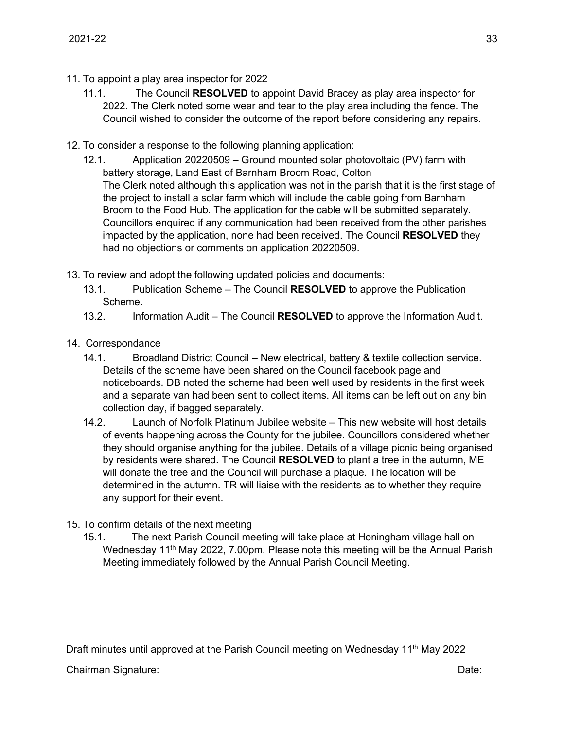- 11. To appoint a play area inspector for 2022
	- 11.1. The Council **RESOLVED** to appoint David Bracey as play area inspector for 2022. The Clerk noted some wear and tear to the play area including the fence. The Council wished to consider the outcome of the report before considering any repairs.
- 12. To consider a response to the following planning application:
	- 12.1. Application 20220509 Ground mounted solar photovoltaic (PV) farm with battery storage, Land East of Barnham Broom Road, Colton The Clerk noted although this application was not in the parish that it is the first stage of the project to install a solar farm which will include the cable going from Barnham Broom to the Food Hub. The application for the cable will be submitted separately. Councillors enquired if any communication had been received from the other parishes impacted by the application, none had been received. The Council **RESOLVED** they had no objections or comments on application 20220509.
- 13. To review and adopt the following updated policies and documents:
	- 13.1. Publication Scheme The Council **RESOLVED** to approve the Publication Scheme.
	- 13.2. Information Audit The Council **RESOLVED** to approve the Information Audit.
- 14. Correspondance
	- 14.1. Broadland District Council New electrical, battery & textile collection service. Details of the scheme have been shared on the Council facebook page and noticeboards. DB noted the scheme had been well used by residents in the first week and a separate van had been sent to collect items. All items can be left out on any bin collection day, if bagged separately.
	- 14.2. Launch of Norfolk Platinum Jubilee website This new website will host details of events happening across the County for the jubilee. Councillors considered whether they should organise anything for the jubilee. Details of a village picnic being organised by residents were shared. The Council **RESOLVED** to plant a tree in the autumn, ME will donate the tree and the Council will purchase a plaque. The location will be determined in the autumn. TR will liaise with the residents as to whether they require any support for their event.
- 15. To confirm details of the next meeting
	- 15.1. The next Parish Council meeting will take place at Honingham village hall on Wednesday 11<sup>th</sup> May 2022, 7.00pm. Please note this meeting will be the Annual Parish Meeting immediately followed by the Annual Parish Council Meeting.

Draft minutes until approved at the Parish Council meeting on Wednesday 11<sup>th</sup> May 2022

Chairman Signature: Date: